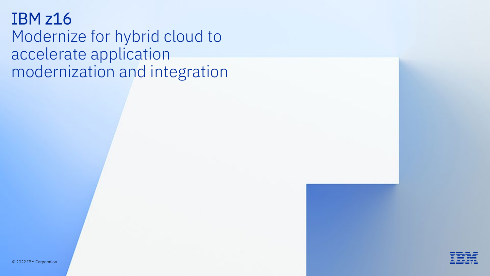# IBM z16 Modernize for hybrid cloud to accelerate application modernization and integration

 $\rightarrow$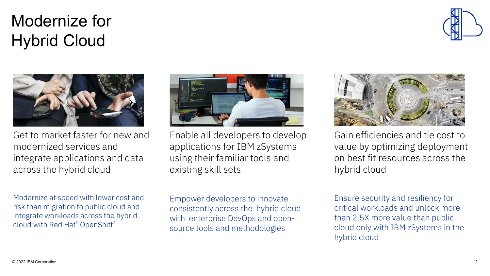#### © 2022 IBM Corporation 2

Get to market faster for new and

modernized services and integrate applications and data across the hybrid cloud

Modernize at speed with lower cost and risk than migration to public cloud and integrate workloads across the hybrid cloud with Red Hat® OpenShift®

Enable all developers to develop applications for IBM zSystems using their familiar tools and existing skill sets

Empower developers to innovate consistently across the hybrid cloud with enterprise DevOps and opensource tools and methodologies

Gain efficiencies and tie cost to value by optimizing deployment on best fit resources across the hybrid cloud

Ensure security and resiliency for critical workloads and unlock more than 2.5X more value than public cloud only with IBM zSystems in the hybrid cloud



# Hybrid Cloud

Modernize for

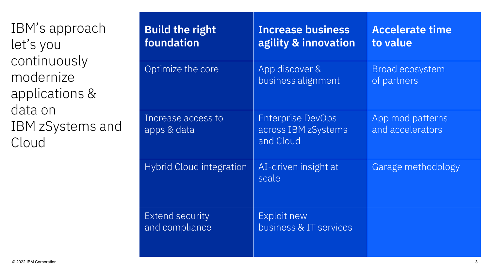IBM's approach let's you continuously modernize applications & data on IBM zSystems and Cloud

| <b>Build the right</b><br>foundation     | <b>Increase business</b><br>agility & innovation             | <b>Accelerate time</b><br>to value    |
|------------------------------------------|--------------------------------------------------------------|---------------------------------------|
| Optimize the core                        | App discover &<br>business alignment                         | <b>Broad ecosystem</b><br>of partners |
| Increase access to<br>apps & data        | <b>Enterprise DevOps</b><br>across IBM zSystems<br>and Cloud | App mod patterns<br>and accelerators  |
| <b>Hybrid Cloud integration</b>          | AI-driven insight at<br>scale                                | Garage methodology                    |
| <b>Extend security</b><br>and compliance | Exploit new<br>business & IT services                        |                                       |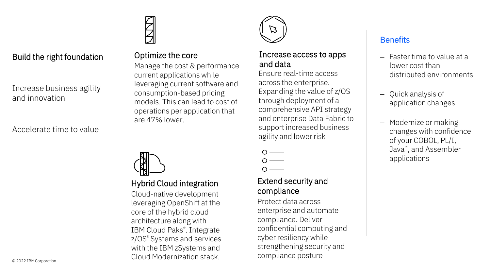#### Build the right foundation

Increase business agility and innovation

Accelerate time to value



#### Optimize the core

Manage the cost & performance current applications while leveraging current software and consumption-based pricing models. This can lead to cost of operations per application that are 47% lower.



#### Hybrid Cloud integration

Cloud-native development leveraging OpenShift at the core of the hybrid cloud architecture along with IBM Cloud Paks®. Integrate z/OS® Systems and services with the IBM zSystems and Cloud Modernization stack. 4



#### Increase access to apps and data

Ensure real-time access across the enterprise. Expanding the value of z/OS through deployment of a comprehensive API strategy and enterprise Data Fabric to support increased business agility and lower risk

 $\circ$  —  $\cap$   $\qquad$ 

#### Extend security and compliance

Protect data across enterprise and automate compliance. Deliver confidential computing and cyber resiliency while strengthening security and compliance posture

### **Benefits**

- Faster time to value at a lower cost than distributed environments
- Quick analysis of application changes
- Modernize or making changes with confidence of your COBOL, PL/I, Java™, and Assembler applications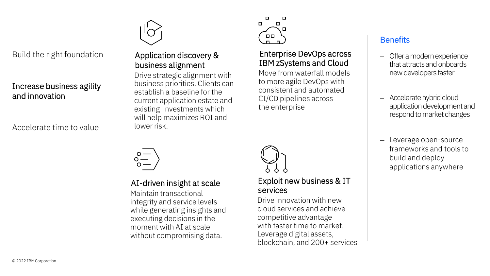

Build the right foundation

#### Increase business agility and innovation

Accelerate time to value



Drive strategic alignment with business priorities. Clients can establish a baseline for the current application estate and existing investments which will help maximizes ROI and lower risk.



#### Enterprise DevOps across IBM zSystems and Cloud

Move from waterfall models to more agile DevOps with consistent and automated CI/CD pipelines across the enterprise

### **Benefits**

- Offer a modern experience that attracts and onboards new developers faster
- Accelerate hybrid cloud application development and respond to market changes
- Leverage open-source frameworks and tools to build and deploy applications anywhere



#### AI-driven insight at scale

Maintain transactional integrity and service levels while generating insights and executing decisions in the moment with AI at scale without compromising data.



Exploit new business & IT services

Drive innovation with new cloud services and achieve competitive advantage with faster time to market. Leverage digital assets, blockchain, and 200+ services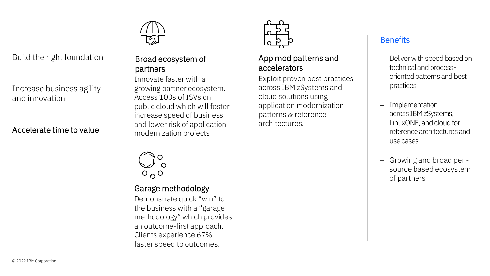

Build the right foundation

Increase business agility and innovation

#### Accelerate time to value

#### Broad ecosystem of partners

Innovate faster with a growing partner ecosystem. Access 100s of ISVs on public cloud which will foster increase speed of business and lower risk of application modernization projects



#### App mod patterns and accelerators

Exploit proven best practices across IBM zSystems and cloud solutions using application modernization patterns & reference architectures.

#### **Benefits**

- Deliver with speed based on technical and processoriented patterns and best practices
- Implementation across IBM zSystems, LinuxONE, and cloud for reference architectures and use cases
- Growing and broad pensource based ecosystem of partners



#### Garage methodology

Demonstrate quick "win" to the business with a "garage methodology" which provides an outcome-first approach. Clients experience 67% faster speed to outcomes.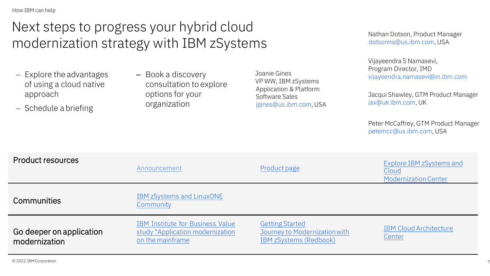## Next steps to progress your hybrid cloud modernization strategy with IBM zSystems

- Explore the advantages of using a cloud native approach
- Schedule a briefing

– Book a discovery consultation to explore options for your organization

Joanie Gines VP WW, IBM zSystems Application & Platform Software Sales [jgines@us.ibm.com,](mailto:jgines@us.ibm.com) USA Nathan Dotson, Product Manager [dotsonna@us.ibm.com](mailto:dotsonna@us.ibm.com), USA

Vijayeendra S Namasevi, Program Director, IMD [vijayeendra.namasevi@in.ibm.com](mailto:vijayeendra.namasevi@in.ibm.com)

Jacqui Shawley, GTM Product Manager [jax@uk.ibm.com](mailto:jax@uk.ibm.com), UK

Peter McCaffrey, GTM Product Manager [petemcc@us.ibm.com,](mailto:petemcc@us.ibm.com) USA

| Product resources                         | Announcement                                                                                    | Product page                                                                             | Explore IBM zSystems and<br>Cloud<br><b>Modernization Center</b> |
|-------------------------------------------|-------------------------------------------------------------------------------------------------|------------------------------------------------------------------------------------------|------------------------------------------------------------------|
| <b>Communities</b>                        | <b>IBM zSystems and LinuxONE</b><br>Community                                                   |                                                                                          |                                                                  |
| Go deeper on application<br>modernization | <b>IBM Institute for Business Value</b><br>study "Application modernization<br>on the mainframe | <b>Getting Started</b><br>Journey to Modernization with<br><b>IBM zSystems (Redbook)</b> | <b>IBM Cloud Architecture</b><br>Center                          |